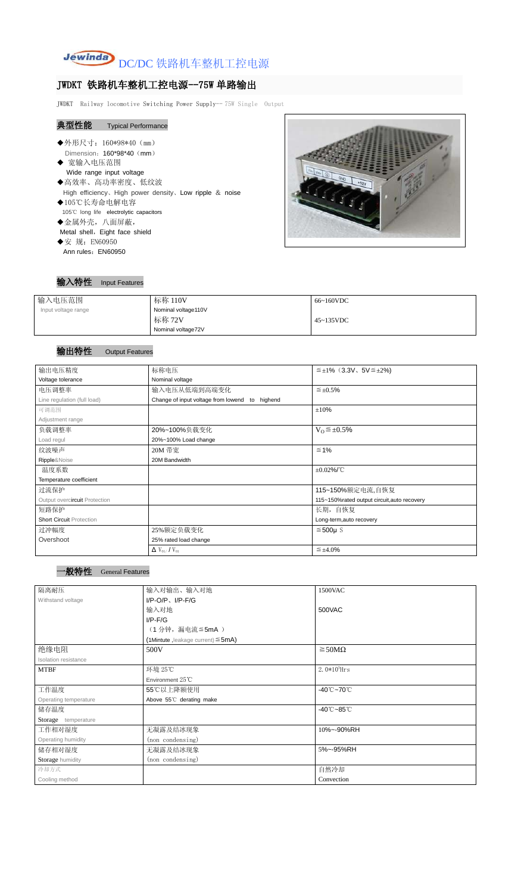

# JWDKT 铁路机车整机工控电源--75W 单路输出

JWDKT Railway locomotive Switching Power Supply-- 75W Single Output

# 典型性能 Typical Performance

- ◆外形尺寸: 160\*98\*40 (mm) Dimension: 160\*98\*40 (mm) ◆ 宽输入电压范围 Wide range input voltage ◆高效率、高功率密度、低纹波 High efficiency、High power density、Low ripple & noise ◆105℃长寿命电解电容 105℃ long life electrolytic capacitors ◆金属外壳,八面屏蔽, Metal shell, Eight face shield ◆安 规: EN60950
- Ann rules: EN60950

# $12V$

### 输入特性 Input Features

| 输入电压范围              | 标称 110V                                             | 66~160VDC |
|---------------------|-----------------------------------------------------|-----------|
| Input voltage range | Nominal voltage110V<br>标称 72V<br>Nominal voltage72V | 45~135VDC |

# 输出特性 Output Features

| 输出电压精度                          | 标称电压                                           | $\leq \pm 1\%$ (3.3V, 5V $\leq \pm 2\%$ )   |  |  |
|---------------------------------|------------------------------------------------|---------------------------------------------|--|--|
| Voltage tolerance               | Nominal voltage                                |                                             |  |  |
| 电压调整率                           | 输入电压从低端到高端变化<br>$\leq \pm 0.5\%$               |                                             |  |  |
| Line regulation (full load)     | Change of input voltage from lowend to highend |                                             |  |  |
| 可调范围                            |                                                | ±10%                                        |  |  |
| Adjustment range                |                                                |                                             |  |  |
| 负载调整率                           | 20%~100%负载变化                                   | $V_0 \leq \pm 0.5\%$                        |  |  |
| Load regul                      | 20%~100% Load change                           |                                             |  |  |
| 纹波噪声                            | 20M 带宽                                         | $\leq 1\%$                                  |  |  |
| Ripple&Noise                    | 20M Bandwidth                                  |                                             |  |  |
| 温度系数                            |                                                | $\pm 0.02\%$ /°C                            |  |  |
| Temperature coefficient         |                                                |                                             |  |  |
| 过流保护                            |                                                | 115~150%额定电流,自恢复                            |  |  |
| Output overcircuit Protection   |                                                | 115~150%rated output circuit, auto recovery |  |  |
| 短路保护                            |                                                | 长期, 自恢复                                     |  |  |
| <b>Short Circuit Protection</b> |                                                | Long-term, auto recovery                    |  |  |
| 过冲幅度                            | 25%额定负载变化                                      | $≤500µ$ S                                   |  |  |
| Overshoot                       | 25% rated load change                          |                                             |  |  |
|                                 | $\Delta$ V <sub>01</sub> /V <sub>01</sub>      | $\leq \pm 4.0\%$                            |  |  |

## 一般特性 General Features

| 隔离耐压                  | 输入对输出、输入对地<br>1500VAC                   |                                 |
|-----------------------|-----------------------------------------|---------------------------------|
| Withstand voltage     | $I/P$ -O/P, $I/P$ -F/G                  |                                 |
|                       | 输入对地                                    | 500VAC                          |
|                       | $I/P$ - $F/G$                           |                                 |
|                       | (1分钟,漏电流≦5mA)                           |                                 |
|                       | (1Mintute, leakage current) $\leq$ 5mA) |                                 |
| 绝缘电阻                  | 500V                                    | $\geq$ 50M $\Omega$             |
| Isolation resistance  |                                         |                                 |
| <b>MTBF</b>           | 环境 25℃                                  | $2.0*10^5$ Hrs                  |
|                       | Environment 25°C                        |                                 |
| 工作温度                  | 55℃以上降额使用                               | $-40^{\circ}$ C $-70^{\circ}$ C |
| Operating temperature | Above 55°C derating make                |                                 |
| 储存温度                  |                                         | $-40^{\circ}$ C $-85^{\circ}$ C |
| Storage temperature   |                                         |                                 |
| 工作相对湿度                | 无凝露及结冰现象                                | 10%~-90%RH                      |
| Operating humidity    | (non condensing)                        |                                 |
| 储存相对湿度                | 无凝露及结冰现象                                | 5%~-95%RH                       |
| Storage humidity      | (non condensing)                        |                                 |
| 冷却方式                  |                                         | 自然冷却                            |
| Cooling method        |                                         | Convection                      |